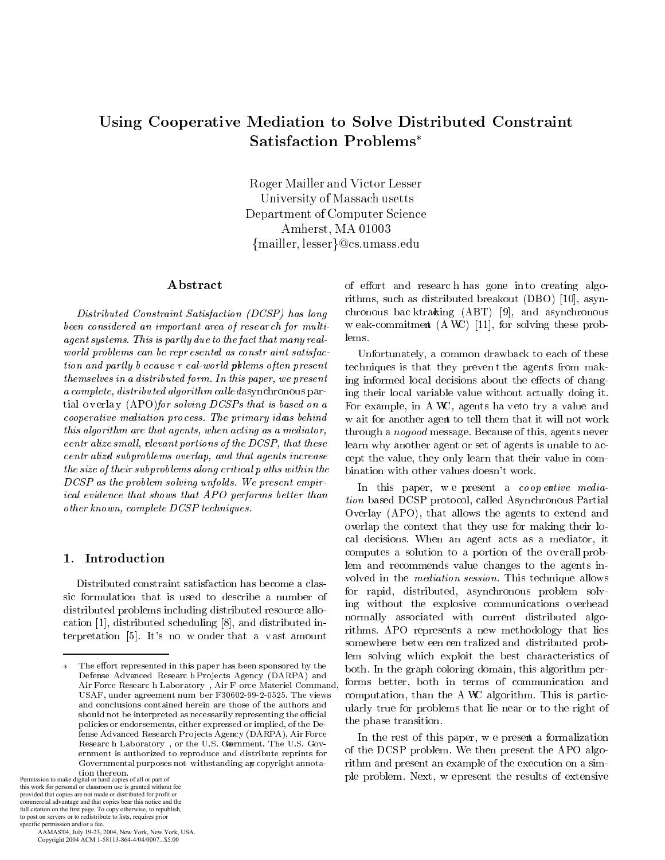# Using Cooperative Mediation to Solve Distributed Constraint **Satisfaction Problems\***

Roger Mailler and Victor Lesser University of Massach usetts Department of Computer Science Amherst, MA 01003  ${mailler, lesser}@cs.umass.edu$ 

### Abstract

Distributed Constraint Satisfaction (DCSP) has long been considered an important area of research for multiagent systems. This is partly due to the fact that many realworld problems can be repr esental as constraint satisfaction and partly b ecause r eal-world pollems often present themselves in a distributed form. In this paper, we present a complete, distributed algorithm calle dasynchronous partial overlay (APO) for solving DCSPs that is based on a cooperative mediation process. The primary ideas behind this algorithm are that agents, when acting as a mediator, centr alize small, plevant portions of the DCSP, that these centr alized subproblems overlap, and that agents increase the size of their subproblems along critical p aths within the DCSP as the problem solving unfolds. We present empirical evidence that shows that APO performs better than other known, complete DCSP techniques.

### 1. Introduction

Distributed constraint satisfaction has become a classic formulation that is used to describe a number of distributed problems including distributed resource allocation [1], distributed scheduling [8], and distributed interpretation [5]. It's no w onder that a vast amount

tion thereon.<br>Permission to make digital or hard copies of all or part of Final work for personal or classroom use is granted without fee<br>provided that copies are not made or distributed for profit or commercial advantage and that copies bear this notice and the full citation on the first page. To copy otherwise, to republish, to post on servers or to redistribute to lists, requires prior specific permission and/or a fee

AAMAS'04, July 19-23, 2004, New York, New York, USA. Copyright 2004 ACM 1-58113-864-4/04/0007...\$5.00

of effort and research has gone into creating algorithms, such as distributed breakout (DBO) [10], asynchronous bac ktracking  $(ABT)$  [9], and asynchronous w eak-commitment (A WC) [11], for solving these problems.

Unfortunately, a common drawback to each of these techniques is that they prevent the agents from making informed local decisions about the effects of changing their local variable value without actually doing it. For example, in A WC, agents ha veto try a value and w ait for another agent to tell them that it will not work through a *nogood* message. Because of this, agents never learn why another agent or set of agents is unable to accept the value, they only learn that their value in combination with other values doesn't work.

In this paper, we present a coopentive mediation based DCSP protocol, called Asynchronous Partial Overlay (APO), that allows the agents to extend and overlap the context that they use for making their local decisions. When an agent acts as a mediator, it computes a solution to a portion of the overall problem and recommends value changes to the agents involved in the *mediation session*. This technique allows for rapid, distributed, asynchronous problem solving without the explosive communications overhead normally associated with current distributed algorithms. APO represents a new methodology that lies somewhere betw een centralized and distributed problem solving which exploit the best characteristics of both. In the graph coloring domain, this algorithm performs better, both in terms of communication and computation, than the AWC algorithm. This is particularly true for problems that lie near or to the right of the phase transition.

In the rest of this paper, we present a formalization of the DCSP problem. We then present the APO algorithm and present an example of the execution on a simple problem. Next, w epresent the results of extensive

The effort represented in this paper has been sponsored by the Defense Advanced Research Projects Agency (DARPA) and Air Force Researc h Laboratory , Air F orce Materiel Command, USAF, under agreement num ber F30602-99-2-0525. The views and conclusions contained herein are those of the authors and should not be interpreted as necessarily representing the official policies or endorsements, either expressed or implied, of the Defense Advanced Research Projects Agency (DARPA), Air Force Research Laboratory, or the U.S. Gornment. The U.S. Government is authorized to reproduce and distribute reprints for Governmental purposes not withstanding an copyright annota-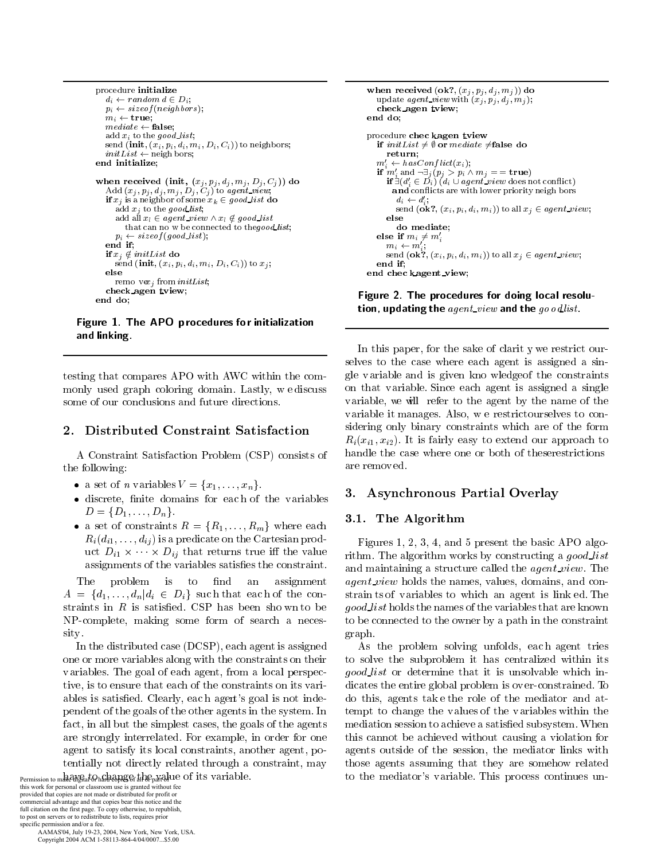```
-

#-
 -

       -
  -
  0

 	
0   -
0
     	-

0
     \alpha \alpha \alpha \gamma and \alpha \alpha \beta \alpha \beta \beta \beta \beta \gamma\sum_{i=1}^{n} \binom{n}{i} \binom{n}{i} \binom{n}{i} \binom{n}{i} \binom{n}{i} \binom{n}{i} \binom{n}{i} \binom{n}{i} \binom{n}{i} \binom{n}{i} \binom{n}{i} \binom{n}{i} \binom{n}{i} \binom{n}{i} \binom{n}{i} \binom{n}{i} \binom{n}{i} \binom{n}{i} \binom{n}{i} \binom{n}{i} \binom{n}{i} \binom{n}{i} \binom{n}{i} \binom{n}{i} \binom{n}{i} \binom{n}{i} \binom{n}{i} \binom{n}{i} \binom{n}{i} \binom{n}{i}\cdots -
0
\frac{1}{2}

              -
 -
0
     \ldots \ldots \ldots \ldots \ldots \ldots \ldots \ldots \ldots \ldots \ldots \ldots\alpha \alpha \alpha \gamma \alpha \beta \alpha \alpha \beta \beta \alpha \alpha \beta \beta \beta \beta

   -
 -

              \lim_{t \to \infty} \frac{1}{t} \sum_{i=1}^{n} \frac{1}{t} \sum_{j=1}^{n} \frac{1}{t} \sum_{i=1}^{n} \frac{1}{t} \sum_{j=1}^{n} \frac{1}{t} \sum_{j=1}^{n} \frac{1}{t} \sum_{i=1}^{n} \frac{1}{t} \sum_{j=1}^{n} \frac{1}{t} \sum_{j=1}^{n} \frac{1}{t} \sum_{j=1}^{n} \frac{1}{t} \sum_{j=1}^{n} \frac{1}{t} \sum_{j=1}^{n} \frac{1}{t} \sum_{j=1}^{n} \frac{1}{tr a contra de la contra de la contra de la contra de la contra de la contra de la contra de la contra de la co
    end if;
     	  -

         -

 -
               0
         -
  -
  0 
  -
0
end do;
```
 and linking.

testing that compares APO with AWC within the com--  ! 4
- \$  some of our conclusions and future directions.

A Constraint Satisfaction Problem (CSP) consists of handle the can-<br>a following: are removed. the following:

- 6 -!
- discrete, finite domains for each of the variables 6 -!
- $\mathbf{a} = \mathbf{b}$  . The second contract  $\mathbf{a} = \mathbf{b}$  ,  $\mathbf{a} = \mathbf{b}$  ,  $\mathbf{b} = \mathbf{c}$  ,  $\mathbf{b} = \mathbf{c}$  ,  $\mathbf{c} = \mathbf{c}$  ,  $\mathbf{c} = \mathbf{c}$  ,  $\mathbf{c} = \mathbf{c}$  ,  $\mathbf{c} = \mathbf{c}$  ,  $\mathbf{c} = \mathbf{c}$  ,  $\mathbf{c} = \mathbf{c}$  ,  $\math$  ---   ,  $\frac{1}{2}$   $\frac{1}{2}$   $\frac{1}{2}$   $\frac{1}{2}$   $\frac{1}{2}$   $\frac{1}{2}$   $\frac{1}{2}$   $\frac{1}{2}$   $\frac{1}{2}$   $\frac{1}{2}$   $\frac{1}{2}$   $\frac{1}{2}$   $\frac{1}{2}$   $\frac{1}{2}$   $\frac{1}{2}$   $\frac{1}{2}$   $\frac{1}{2}$   $\frac{1}{2}$   $\frac{1}{2}$   $\frac{1}{2}$   $\frac{1}{2}$   $\frac{1}{2}$  assignments of the variables satisfies the constraint.

The problem is to find an assignment an 6 -- straints in  $R$  is satisfied. CSP has been shown to be in the contract of the contract of the contract of the contract of the contract of the contract of the contract of the contract of the contract of the contract of the contract of the contract of the contract of the contrac sity. -

In the distributed case  $(DCSP)$ , each agent is assigned one or more variables along with the constraints on their variables. The goal of each agent, from a local perspective, is to ensure that each of the constraints on its vari-  7! ,

- # 
   
  -! " fact, in all but the simplest cases, the goals of the agents  $\blacksquare$  :  $\blacksquare$  ,  $\blacksquare$  ,  $\blacksquare$  ,  $\blacksquare$  ,  $\blacksquare$  ,  $\blacksquare$  ,  $\blacksquare$  ,  $\blacksquare$  ,  $\blacksquare$  ,  $\blacksquare$  ,  $\blacksquare$  ,  $\blacksquare$  ,  $\blacksquare$  ,  $\blacksquare$  ,  $\blacksquare$  ,  $\blacksquare$  ,  $\blacksquare$  ,  $\blacksquare$  ,  $\blacksquare$  ,  $\blacksquare$  ,  $\blacksquare$  ,  $\blacksquare$  ,  $\blacksquare$  ,  $\blacksquare$  -  

   $\mathbf{H}$  . The contract of the contract of the contract of the contract of the contract of the contract of the contract of the contract of the contract of the contract of the contract of the contract of the contract of th

this work for personal or classroom use is granted without fee provided that copies are not made or distributed for profit or commercial advantage and that copies bear this notice and the full citation on the first page. To copy otherwise, to republish, to post on servers or to redistribute to lists, requires prior specific permission and/or a fee.

 AAMAS'04, July 19-23, 2004, New York, New York, USA. Copyright 2004 ACM 1-58113-864-4/04/0007...\$5.00

```
when received (\mathbf{ok}^2, (x_j, p_j, d_j, m_j)) do
    \alpha p \alpha are \alpha y is \alpha in \alpha in \alpha in \alpha in \alpha in \alpha in \alpha in \alpha in \alpha
  -
0
end do;
procedure chec kagen tview
-
                                       
    \cdots . The set of \cdots is a set of \cdots in the set of \cdotsm'_i \leftarrow hasConflict(x_i);-
0 \begin{array}{l} \mathbf{if} \ m_i' \ \text{and} \ \neg \exists_j (p_j > p_i \land m_j == \textbf{true})\ \ \mathbf{if} \ \exists (d_i' \in D_i) \ (d_i \cup agent\_view \ \text{does not conflict}) \end{array} 	2 -
 , ,-
  	-

            a_i \leftarrow a_i;<br>send (\mathbf{ok?}, (x_i, p_i, d_i, m_i)) to all x_i \in agent\_view;0
       else
        do mediate;
    eise II m_i \neq m_im_i \leftarrow m_i;
        \sim . \sim , \sim , \sim , \sim , \sim , \sim , \sim , \sim , \sim , \sim , \sim , \sim , \sim , \sim , \sim , \sim , \sim , \sim , \sim , \sim , \sim , \sim , \sim , \sim , \sim , \sim , \sim , \sim , \sim , \sim , \simend if:

  -
 0
```
- 
 - 
-  -

 $R_i(x_{i1}, x_{i2})$ . It is fairly easy to extend our approach to "  & 
 - \$  selves to the case where each agent is assigned a single variable and is given kno wledge of the constraints on that variable. Since each agent is assigned a single  $\mathbf{A}$  , and the set of  $\mathbf{A}$  , and the set of  $\mathbf{A}$  , and  $\mathbf{A}$  , and  $\mathbf{A}$  , and  $\mathbf{A}$ variable it manages. Also, we restrict ourselves to con- - -  \$ handle the case where one or both of these restrictions

### - -

### -

   \$  & ! )  $\mathbf{r} = \mathbf{r} \cdot \mathbf{r}$ Figures 1, 2, 3, 4, and 5 present the basic APO algo-! ) 
 \$& -  -   

 - ! ) -  
  -  
 &\$ graph.

 -     \$    

  ! )  &   $\mathbf{A}$  $\mathbf{A}$  . The contract of  $\mathbf{A}$  is the contract of  $\mathbf{A}$  is the contract of  $\mathbf{A}$  is the contract of  $\mathbf{A}$ Permission to make digital or hard copies for all of the part of the valuable. The media of all or all able is valuable. I like process continues un-As the problem solving unfolds, each agent tries to solve the subproblem it has centralized within its tempt to change the values of the variables within the    7 -! + this cannot be achieved without causing a violation for to the mediator's variable. This process continues un-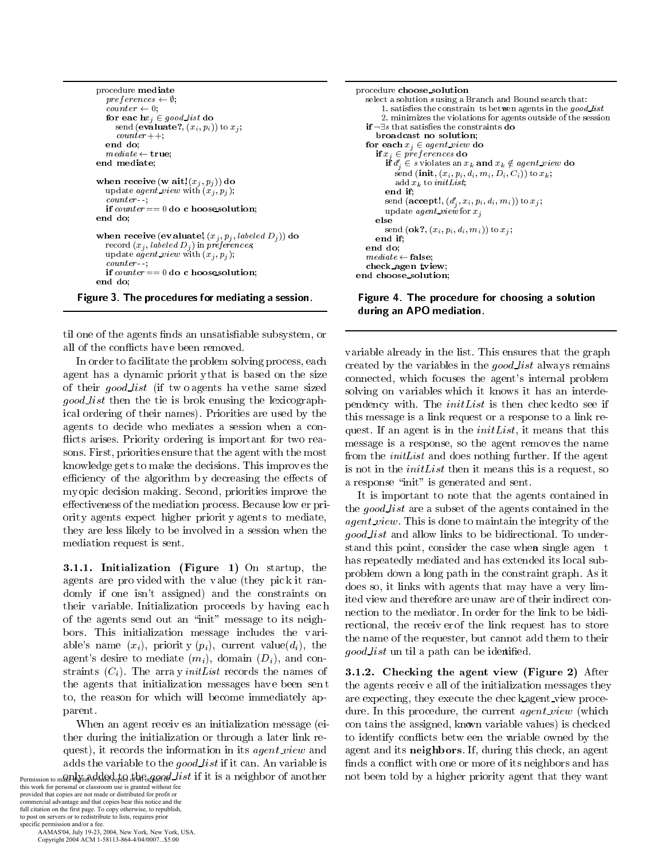```
procedure mediate
      preferences \leftarrow \emptyset;counter \leftarrow 0;
       for eachx_i \in good\_list do
         send (evaluate?, (x_i, p_i)) to x_i;
         counter++end do;
       mediate \leftarrow true;end mediate;
    when receive (w ait! (x_j, p_j)) do
      update agent_view with (x_j, p_j);
       counter-if counter == 0 do c hoosesolution;
    end do:
    when receive (evaluate, (x_j, p_j, labeled D_j)) do
       record (x_j, labeled D_j) in preferences,
       update agent_view with (x_i, p_i);
       counter-if counter == 0 do c hooses olution:
    end do:
Figure 3. The procedures for mediating a session.
```
til one of the agents finds an unsatisfiable subsystem, or all of the conflicts have been removed.

In order to facilitate the problem solving process, each agent has a dynamic priority that is based on the size of their good\_list (if two agents ha vethe same sized good list then the tie is brok enusing the lexicographical ordering of their names). Priorities are used by the agents to decide who mediates a session when a conflicts arises. Priority ordering is important for two reasons. First, priorities ensure that the agent with the most knowledge gets to make the decisions. This improves the efficiency of the algorithm by decreasing the effects of my opic decision making. Second, priorities improve the effectiveness of the mediation process. Because low er priority agents expect higher priority agents to mediate, they are less likely to be involved in a session when the mediation request is sent.

3.1.1. Initialization (Figure 1) On startup, the agents are provided with the value (they pick it randomly if one isn't assigned) and the constraints on their variable. Initialization proceeds by having each of the agents send out an "init" message to its neighbors. This initialization message includes the variable's name  $(x_i)$ , priority  $(p_i)$ , current value $(d_i)$ , the agent's desire to mediate  $(m_i)$ , domain  $(D_i)$ , and constraints  $(C_i)$ . The array *init List* records the names of the agents that initialization messages have been sent to, the reason for which will become immediately apparent.

When an agent receives an initialization message (either during the initialization or through a later link request), it records the information in its *agent\_view* and adds the variable to the good list if it can. An variable is Permission to make hatard hard-ha + he-gand list if it is a neighbor of another

this work for personal or classroom use is granted without fee<br>provided that copies are not made or distributed for profit or commercial advantage and that copies bear this notice and the full citation on the first page. To copy otherwise, to republish, to post on servers or to redistribute to lists, requires prior specific permission and/or a fee.

AAMAS'04, July 19-23, 2004, New York, New York, USA. Copyright 2004 ACM 1-58113-864-4/04/0007...\$5.00

```
procedure choose_solution
  select a solution susing a Branch and Bound search that:
        1. satisfies the constrain ts between agents in the good_list
       2. minimizes the violations for agents outside of the session
   \mathbf{if} \neg \exists s \text{ that satisfies the constraints } \mathbf{do}broadcast no solution.
  for each x_i \in agent\_view do
      \mathbf{if}\, x_j \in {p}{r}{e}{f}{e}{r}{e}{r}{\epsilon}{r}{s} do
        \mathbf{if} d'_{i} \in s violates an x_{k} and x_{k} \notin agent\_view do
            send (init, (x_i, p_i, d_i, m_i, D_i, C_i)) to x_k;
            add\boldsymbol{x}_k to initListend if.
        send (accept!, (d'_i, x_i, p_i, d_i, m_i)) to x_i;
        update agent_view for x_ielse
        send (\mathbf{ok?}, (x_i, p_i, d_i, m_i)) to x_j;
      end if:
  end do;
  mediate \leftarrow false;check_agen tview;
end choose_solution;
```
Figure 4. The procedure for choosing a solution during an APO mediation.

variable already in the list. This ensures that the graph created by the variables in the good list always remains connected, which focuses the agent's internal problem solving on variables which it knows it has an interdependency with. The *initList* is then checked osee if this message is a link request or a response to a link request. If an agent is in the *init List*, it means that this message is a response, so the agent removes the name from the *initList* and does nothing further. If the agent is not in the *initList* then it means this is a request, so a response "init" is generated and sent.

It is important to note that the agents contained in the *good\_list* are a subset of the agents contained in the *agent\_view*. This is done to maintain the integrity of the *good list* and allow links to be bidirectional. To understand this point, consider the case when single agen t has repeatedly mediated and has extended its local subproblem down a long path in the constraint graph. As it does so, it links with agents that may have a very limited view and therefore are unaw are of their indirect connection to the mediator. In order for the link to be bidirectional, the receiver of the link request has to store the name of the requester, but cannot add them to their good\_list un til a path can be identified.

3.1.2. Checking the agent view (Figure 2) After the agents receive all of the initialization messages they are expecting, they execute the checkagent-view procedure. In this procedure, the current *agent\_view* (which con tains the assigned, known variable values) is checked to identify conflicts betwe en the ariable owned by the agent and its neighbors. If, during this check, an agent finds a conflict with one or more of its neighbors and has not been told by a higher priority agent that they want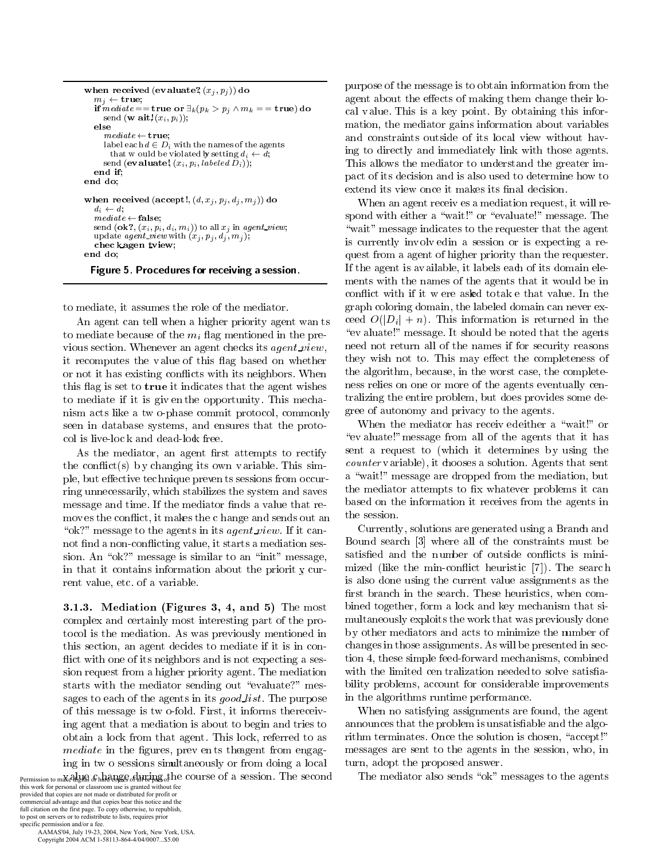```
when received (evaluate?, (x_j, p_j)) do
  m_j \leftarrow \textbf{true};if mediate == true or \exists_k (p_k > p_j \wedge m_k == true) do
     send (w ait}(x_i, p_i));
  else
     mediate \leftarrow truelabel each d \in D_i with the names of the agents
       that w ould be violated by setting d_i \leftarrow \tilde{d};
     send (evaluate!, (x_i, p_i, labeled D_i));
  end if:
end do:
when received (accept!, (d, x_i, p_i, d_i, m_i)) do
  d_i \leftarrow d:
  mediate \leftarrow false;send (ok?, (x_i, p_i, d_i, m_i)) to all x_j in agent_view;
  update agent_view with (x_j, p_j, d_j, m_j);
  chec kagen tview;
end do:
```
Figure 5. Procedures for receiving a session.

to mediate, it assumes the role of the mediator.

An agent can tell when a higher priority agent wan ts to mediate because of the  $m_i$  flag mentioned in the previous section. Whenever an agent checks its *agent\_view*, it recomputes the value of this flag based on whether or not it has existing conflicts with its neighbors. When this flag is set to **true** it indicates that the agent wishes to mediate if it is given the opportunity. This mechanism acts like a two-phase commit protocol, commonly seen in database systems, and ensures that the protocol is live-lock and dead-lock free.

As the mediator, an agent first attempts to rectify the conflict(s) by changing its own variable. This simple, but effective technique preven ts sessions from occurring unnecessarily, which stabilizes the system and saves message and time. If the mediator finds a value that removes the conflict, it makes the c hange and sends out an "ok?" message to the agents in its *agent\_view*. If it cannot find a non-conflicting value, it starts a mediation session. An "ok?" message is similar to an "init" message, in that it contains information about the priority current value, etc. of a variable.

3.1.3. Mediation (Figures 3, 4, and 5) The most complex and certainly most interesting part of the protocol is the mediation. As was previously mentioned in this section, an agent decides to mediate if it is in conflict with one of its neighbors and is not expecting a session request from a higher priority agent. The mediation starts with the mediator sending out "evaluate?" messages to each of the agents in its good list. The purpose of this message is two-fold. First, it informs there ceiving agent that a mediation is about to begin and tries to obtain a lock from that agent. This lock, referred to as *mediate* in the figures, prev ents the agent from engaging in two sessions simultaneously or from doing a local Permission to make algum & hard are called in ting to the course of a session. The second

this work for personal or classroom use is granted without fee<br>provided that copies are not made or distributed for profit or commercial advantage and that copies bear this notice and the full citation on the first page. To copy otherwise, to republish, to post on servers or to redistribute to lists, requires prior specific permission and/or a fee.

AAMAS'04, July 19-23, 2004, New York, New York, USA. Copyright 2004 ACM 1-58113-864-4/04/0007...\$5.00

purpose of the message is to obtain information from the agent about the effects of making them change their local value. This is a key point. By obtaining this information, the mediator gains information about variables and constraints outside of its local view without having to directly and immediately link with those agents. This allows the mediator to understand the greater impact of its decision and is also used to determine how to extend its view once it makes its final decision.

When an agent receives a mediation request, it will respond with either a "wait!" or "evaluate!" message. The "wait" message indicates to the requester that the agent is currently involved in a session or is expecting a request from a agent of higher priority than the requester. If the agent is available, it labels each of its domain elements with the names of the agents that it would be in conflict with if it w ere asked totake that value. In the graph coloring domain, the labeled domain can never exceed  $O(|D_i| + n)$ . This information is returned in the "ev aluate!" message. It should be noted that the agents need not return all of the names if for security reasons they wish not to. This may effect the completeness of the algorithm, because, in the worst case, the completeness relies on one or more of the agents eventually centralizing the entire problem, but does provides some degree of autonomy and privacy to the agents.

When the mediator has received either a "wait!" or "evaluate!" message from all of the agents that it has sent a request to (which it determines by using the *counter* variable), it chooses a solution. Agents that sent a "wait!" message are dropped from the mediation, but the mediator attempts to fix whatever problems it can based on the information it receives from the agents in the session.

Currently, solutions are generated using a Branch and Bound search [3] where all of the constraints must be satisfied and the number of outside conflicts is minimized (like the min-conflict heuristic [7]). The search is also done using the current value assignments as the first branch in the search. These heuristics, when combined together, form a lock and key mechanism that simultaneously exploits the work that was previously done by other mediators and acts to minimize the number of changes in those assignments. As will be presented in section 4, these simple feed-forward mechanisms, combined with the limited centralization needed to solve satisfiability problems, account for considerable improvements in the algorithms runtime performance.

When no satisfying assignments are found, the agent announces that the problem is unsatisfiable and the algorithm terminates. Once the solution is chosen, "accept!" messages are sent to the agents in the session, who, in turn, adopt the proposed answer.

The mediator also sends "ok" messages to the agents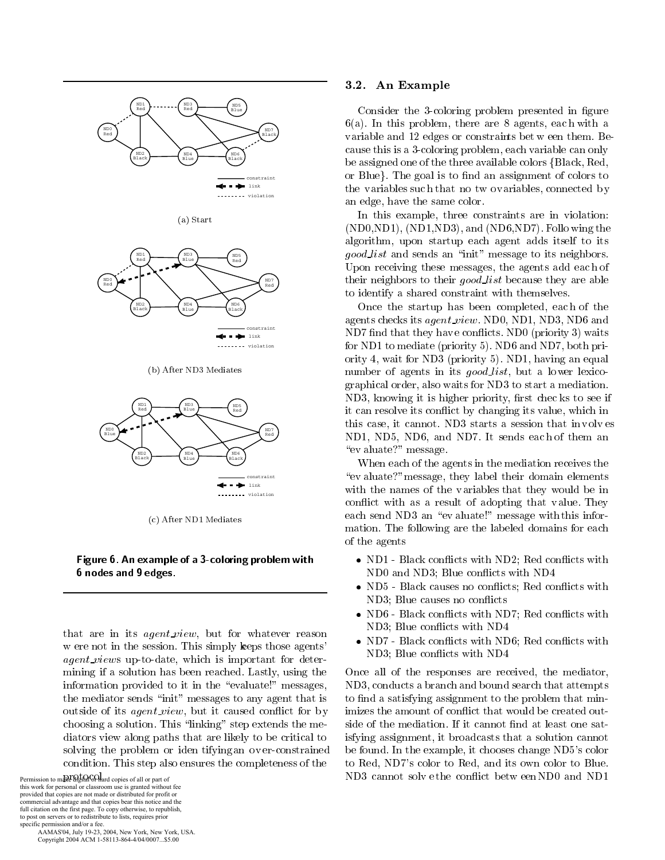



(b) After ND3 Mediates



(c) After ND1 Mediates

### Figure 6. An example of a 3-coloring problem with 6 nodes and 9 edges.

that are in its *agent\_view*, but for whatever reason w ere not in the session. This simply keeps those agents' *agent\_views* up-to-date, which is important for determining if a solution has been reached. Lastly, using the information provided to it in the "evaluate!" messages, the mediator sends "init" messages to any agent that is outside of its *agent\_view*, but it caused conflict for by choosing a solution. This "linking" step extends the mediators view along paths that are likely to be critical to solving the problem or iden tifying an over-constrained condition. This step also ensures the completeness of the

Permission to make agital GO and copies of all or part of this work for personal or classroom use is granted without fee<br>provided that copies are not made or distributed for profit or commercial advantage and that copies bear this notice and the full citation on the first page. To copy otherwise, to republish, to post on servers or to redistribute to lists, requires prior specific permission and/or a fee.

AAMAS'04, July 19-23, 2004, New York, New York, USA. Copyright 2004 ACM 1-58113-864-4/04/0007...\$5.00

#### $3.2.$ An Example

Consider the 3-coloring problem presented in figure  $6(a)$ . In this problem, there are 8 agents, each with a variable and 12 edges or constraints bet w een them. Because this is a 3-coloring problem, each variable can only be assigned one of the three available colors {Black, Red, or Blue. The goal is to find an assignment of colors to the variables such that no two variables, connected by an edge, have the same color.

In this example, three constraints are in violation:  $(ND0, ND1), (ND1, ND3), and (ND6, ND7).$  Follo wing the algorithm, upon startup each agent adds itself to its *good\_list* and sends an "init" message to its neighbors. Upon receiving these messages, the agents add each of their neighbors to their good list because they are able to identify a shared constraint with themselves.

Once the startup has been completed, each of the agents checks its *agent\_view*. ND0, ND1, ND3, ND6 and ND7 find that they have conflicts. ND0 (priority 3) waits for ND1 to mediate (priority 5). ND6 and ND7, both priority 4, wait for ND3 (priority 5). ND1, having an equal number of agents in its *good\_list*, but a lower lexicographical order, also waits for ND3 to start a mediation. ND3, knowing it is higher priority, first checks to see if it can resolve its conflict by changing its value, which in this case, it cannot. ND3 starts a session that in volves ND1, ND5, ND6, and ND7. It sends each of them an "ev aluate?" message.

When each of the agents in the mediation receives the "ev aluate?" message, they label their domain elements with the names of the variables that they would be in conflict with as a result of adopting that value. They each send ND3 an "evaluate!" message with this information. The following are the labeled domains for each of the agents

- ND1 Black conflicts with ND2; Red conflicts with ND0 and ND3; Blue conflicts with ND4
- ND5 Black causes no conflicts; Red conflicts with ND3; Blue causes no conflicts
- ND6 Black conflicts with ND7; Red conflicts with ND3; Blue conflicts with ND4
- ND7 Black conflicts with ND6; Red conflicts with ND3: Blue conflicts with ND4

Once all of the responses are received, the mediator, ND3, conducts a branch and bound search that attempts to find a satisfying assignment to the problem that minimizes the amount of conflict that would be created outside of the mediation. If it cannot find at least one satisfying assignment, it broadcasts that a solution cannot be found. In the example, it chooses change ND5's color to Red, ND7's color to Red, and its own color to Blue. ND3 cannot solve the conflict between ND0 and ND1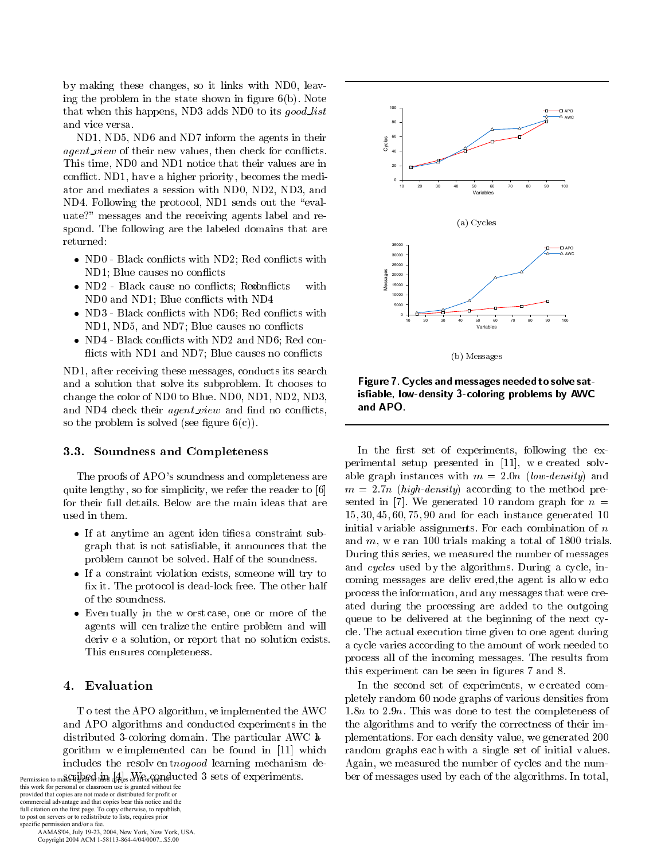by making these changes, so it links with ND0, leaving the problem in the state shown in figure  $6(b)$ . Note that when this happens, ND3 adds ND0 to its good list and vice versa.

ND1, ND5, ND6 and ND7 inform the agents in their *agent\_view* of their new values, then check for conflicts. This time, ND0 and ND1 notice that their values are in conflict. ND1, have a higher priority, becomes the mediator and mediates a session with ND0, ND2, ND3, and ND4. Following the protocol, ND1 sends out the "evaluate?" messages and the receiving agents label and respond. The following are the labeled domains that are returned:

- ND0 Black conflicts with ND2; Red conflicts with ND1; Blue causes no conflicts
- ND2 Black cause no conflicts; Reconflicts with ND0 and ND1; Blue conflicts with ND4
- ND3 Black conflicts with ND6; Red conflicts with ND1, ND5, and ND7; Blue causes no conflicts
- ND4 Black conflicts with ND2 and ND6; Red conflicts with ND1 and ND7; Blue causes no conflicts

ND1, after receiving these messages, conducts its search and a solution that solve its subproblem. It chooses to change the color of ND0 to Blue. ND0, ND1, ND2, ND3, and ND4 check their *agent\_view* and find no conflicts, so the problem is solved (see figure  $6(c)$ ).

### 3.3. Soundness and Completeness

The proofs of APO's soundness and completeness are quite lengthy, so for simplicity, we refer the reader to [6] for their full details. Below are the main ideas that are used in them.

- If at anytime an agent iden tifies a constraint subgraph that is not satisfiable, it announces that the problem cannot be solved. Half of the soundness.
- If a constraint violation exists, someone will try to fix it. The protocol is dead-lock free. The other half of the soundness.
- Eventually in the worst case, one or more of the agents will cen tralize the entire problem and will derive a solution, or report that no solution exists. This ensures completeness.

## 4. Evaluation

T o test the APO algorithm, we implemented the AWC and APO algorithms and conducted experiments in the distributed 3-coloring domain. The particular AWC  $\ast$ gorithm we implemented can be found in [11] which includes the resolvent mogood learning mechanism de-Permission to make the head than  $\frac{1}{2}$  and  $\frac{1}{2}$  with  $\frac{1}{2}$  and ucted 3 sets of experiments.

this work for personal or classroom use is granted without fee<br>provided that copies are not made or distributed for profit or commercial advantage and that copies bear this notice and the full citation on the first page. To copy otherwise, to republish, to post on servers or to redistribute to lists, requires prior specific permission and/or a fee.

AAMAS'04, July 19-23, 2004, New York, New York, USA. Copyright 2004 ACM 1-58113-864-4/04/0007...\$5.00



(b) Messages

Figure 7. Cycles and messages needed to solve satisfiable, low-density 3-coloring problems by AWC and APO.

In the first set of experiments, following the experimental setup presented in [11], we created solvable graph instances with  $m = 2.0n$  (low-density) and  $m = 2.7n$  (high-density) according to the method presented in [7]. We generated 10 random graph for  $n =$  $15, 30, 45, 60, 75, 90$  and for each instance generated 10 initial variable assignments. For each combination of  $n$ and  $m$ , we ran 100 trials making a total of 1800 trials. During this series, we measured the number of messages and cycles used by the algorithms. During a cycle, incoming messages are delivered, the agent is allowed to process the information, and any messages that were created during the processing are added to the outgoing queue to be delivered at the beginning of the next cycle. The actual execution time given to one agent during a cycle varies according to the amount of work needed to process all of the incoming messages. The results from this experiment can be seen in figures 7 and 8.

In the second set of experiments, we created completely random 60 node graphs of various densities from 1.8n to 2.9n. This was done to test the completeness of the algorithms and to verify the correctness of their implementations. For each density value, we generated 200 random graphs each with a single set of initial values. Again, we measured the number of cycles and the number of messages used by each of the algorithms. In total,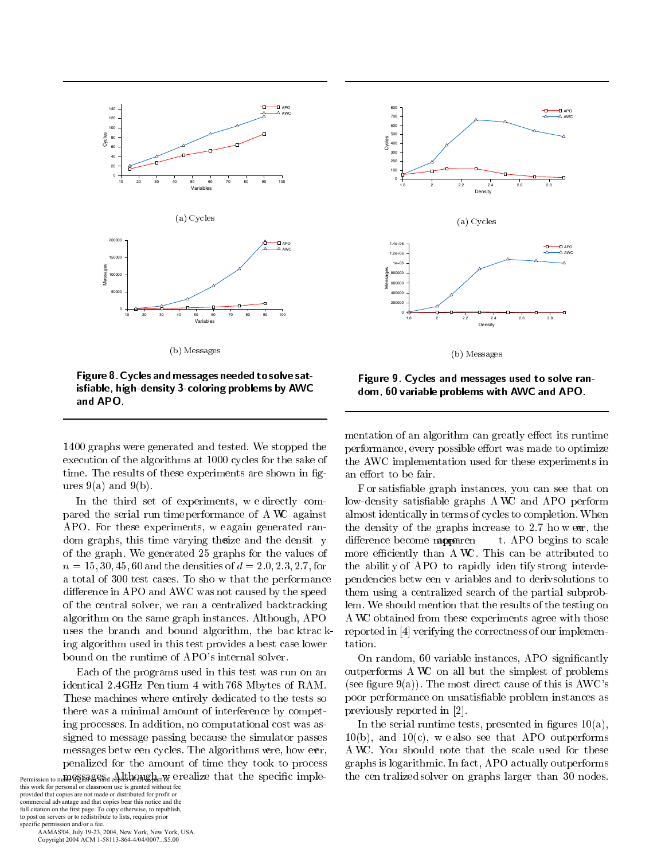

 $\sim$ ,  $\sim$ .  $\sim$ 

Figure 8 . Cycles and messages needed to solve satisfiable, high-density 3-coloring problems by AWC  $\overline{\phantom{a}}$  and 

1400 graphs were generated and tested. We stopped the  $\mathbf{0}$  and  $\mathbf{0}$  and  $\mathbf{0}$  and  $\mathbf{0}$  and  $\mathbf{0}$  and  $\mathbf{0}$  and  $\mathbf{0}$  and  $\mathbf{0}$  and  $\mathbf{0}$  and  $\mathbf{0}$  and  $\mathbf{0}$  and  $\mathbf{0}$  and  $\mathbf{0}$  and  $\mathbf{0}$  and  $\mathbf{0}$  and  $\mathbf{0}$  and  $\mathbf{0}$  and time. The results of these experiments are shown in figures  $9(a)$  and  $9(b)$ .

"  0  \$ 
 pared the serial run time performance of A WC against APO. For these experiments, we again generated ran- $\mathbf{A}$  is a set of  $\mathbf{A}$  . The contract of the contract of  $\mathbf{A}$ of the graph. We generated 25 graphs for the values of  $n = 15, 30, 45, 60$  and the densities of  $d = 2.0, 2.3, 2.7$ , for a total of 300 test cases. To sho w that the performance %  +, \$ of the central solver, we ran a centralized backtracking algorithm on the same graph instances. Although, APO uses the branch and bound algorithm, the bac ktracking algorithm used in this test provides a best case lower bound on the runtime of APO's internal solver.

Each of the programs used in this test was run on an . The set of the set of the set of the set of the set of the set of the set of the set of the set of the set of the set of the set of the set of the set of the set of the set of the set of the set of the set of the set of )  \$ 
-  \$ 
  ing processes. In addition, no computational cost was assigned to message passing because the simulator passes  $\mathbf{a}$  , and a set of  $\mathbf{a}$  , and a set of  $\mathbf{a}$  , and  $\mathbf{a}$  , and  $\mathbf{a}$  , and  $\mathbf{a}$  $\mathbb{R}^n$  . The set of the set of the set of the set of the set of the set of the set of the set of the set of the set of the set of the set of the set of the set of the set of the set of the set of the set of the set of

this work for personal or classroom use is granted without fee provided that copies are not made or distributed for profit or commercial advantage and that copies bear this notice and the full citation on the first page. To copy otherwise, to republish, to post on servers or to redistribute to lists, requires prior specific permission and/or a fee.

 AAMAS'04, July 19-23, 2004, New York, New York, USA. Copyright 2004 ACM 1-58113-864-4/04/0007...\$5.00



Figure 9. Cycles and messages used to solve random, 60 variable problems with AWC and APO.  $\,$ 

 $\alpha$  . The state  $\alpha$  is the state of  $\alpha$  $\mathbf{A}$  and  $\mathbf{A}$  and  $\mathbf{A}$  and  $\mathbf{A}$  and  $\mathbf{A}$  and  $\mathbf{A}$  and  $\mathbf{A}$  and  $\mathbf{A}$  and  $\mathbf{A}$  and  $\mathbf{A}$  and  $\mathbf{A}$  and  $\mathbf{A}$  and  $\mathbf{A}$  and  $\mathbf{A}$  and  $\mathbf{A}$  and  $\mathbf{A}$  and  $\mathbf{A}$  and  $\mathbb{R}^2$  . The contract of the contract of the contract of the contract of the contract of the contract of the contract of the contract of the contract of the contract of the contract of the contract of the contract of the AWC implementation used for these experiments in

 \$ - 7 +, -  8!A \$ % !   : -   $\mathbf{r}$  , and  $\mathbf{r}$  are the contract of the contract of the contract of the contract of the contract of the contract of the contract of the contract of the contract of the contract of the contract of the contract of t  $\blacksquare$  . The contract of the contract of the contract of the contract of the contract of the contract of the contract of the contract of the contract of the contract of the contract of the contract of the contract of the Æ
- +,! )  
 - 
-    pendencies between v ariables and to derivsolutions to them using a centralized search of the partial subproblem. We should mention that the results of the testing on A WC obtained from these experiments agree with those tation.

 $\mathbf{r}$  and  $\mathbf{r}$  and  $\mathbf{r}$  and  $\mathbf{r}$  and  $\mathbf{r}$  and  $\mathbf{r}$  and  $\mathbf{r}$  and  $\mathbf{r}$  and  $\mathbf{r}$  and  $\mathbf{r}$  and  $\mathbf{r}$  and  $\mathbf{r}$  and  $\mathbf{r}$  and  $\mathbf{r}$  and  $\mathbf{r}$  and  $\mathbf{r}$  and  $\mathbf{r}$  and On random, 60 variable instances, APO significantly outperforms A WC on all but the simplest of problems (see figure  $9(a)$ ). The most direct cause of this is  $AWC$ 's poor performance on unsatisfiable problem instances as

 $Permission$  to make  $\frac{1}{2}$  or the digital original order to the specific implies the cell called Solver on graphs farger chan 50 notes. the centralized solver on graphs larger than 30 nodes. In the serial runtime tests, presented in figures  $10(a)$ ,  $10(b)$ , and  $10(c)$ , we also see that APO outperforms A WC. You should note that the scale used for these  $\blacksquare$  . The contract of the contract of the contract of the contract of the contract of the contract of the contract of the contract of the contract of the contract of the contract of the contract of the contract of the